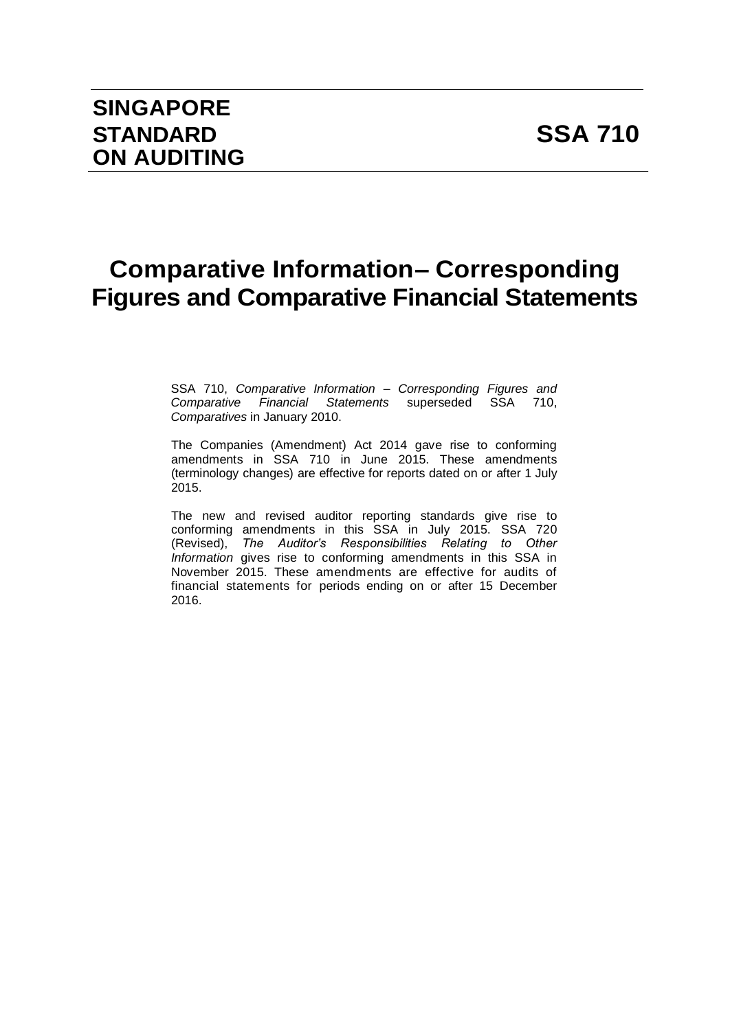# **Comparative Information– Corresponding Figures and Comparative Financial Statements**

SSA 710, *Comparative Information – Corresponding Figures and Comparative Financial Statements* superseded SSA 710, *Comparatives* in January 2010.

The Companies (Amendment) Act 2014 gave rise to conforming amendments in SSA 710 in June 2015. These amendments (terminology changes) are effective for reports dated on or after 1 July 2015.

The new and revised auditor reporting standards give rise to conforming amendments in this SSA in July 2015. SSA 720 (Revised), The Auditor's Responsibilities Relating to Other *Information* gives rise to conforming amendments in this SSA in November 2015. These amendments are effective for audits of financial statements for periods ending on or after 15 December 2016.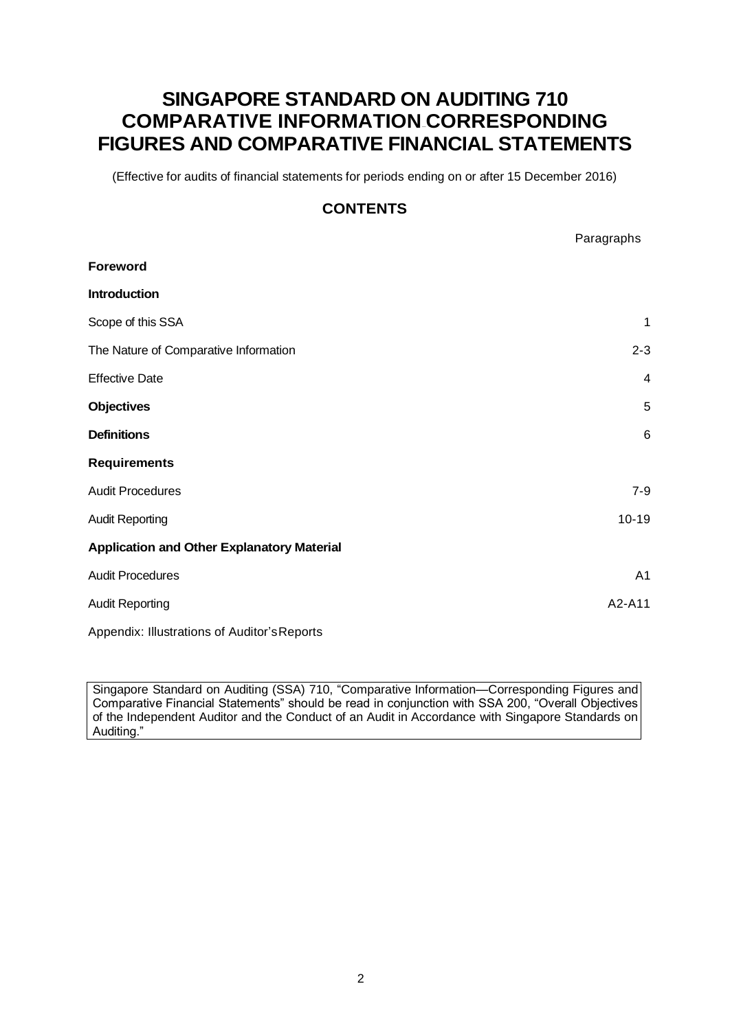# **SINGAPORE STANDARD ON AUDITING 710 COMPARATIVE INFORMATION—CORRESPONDING FIGURES AND COMPARATIVE FINANCIAL STATEMENTS**

(Effective for audits of financial statements for periods ending on or after 15 December 2016)

# **CONTENTS**

Paragraphs

| Foreword                                          |           |
|---------------------------------------------------|-----------|
| Introduction                                      |           |
| Scope of this SSA                                 | 1         |
| The Nature of Comparative Information             | $2 - 3$   |
| <b>Effective Date</b>                             | 4         |
| <b>Objectives</b>                                 | 5         |
| <b>Definitions</b>                                | $\,6$     |
| <b>Requirements</b>                               |           |
| <b>Audit Procedures</b>                           | $7 - 9$   |
| <b>Audit Reporting</b>                            | $10 - 19$ |
| <b>Application and Other Explanatory Material</b> |           |
| <b>Audit Procedures</b>                           | A1        |
| <b>Audit Reporting</b>                            | A2-A11    |
|                                                   |           |

Appendix: Illustrations of Auditor'sReports

Singapore Standard on Auditing (SSA) 710, "Comparative Information—Corresponding Figures and Comparative Financial Statements" should be read in conjunction with SSA 200, "Overall Objectives of the Independent Auditor and the Conduct of an Audit in Accordance with Singapore Standards on Auditing."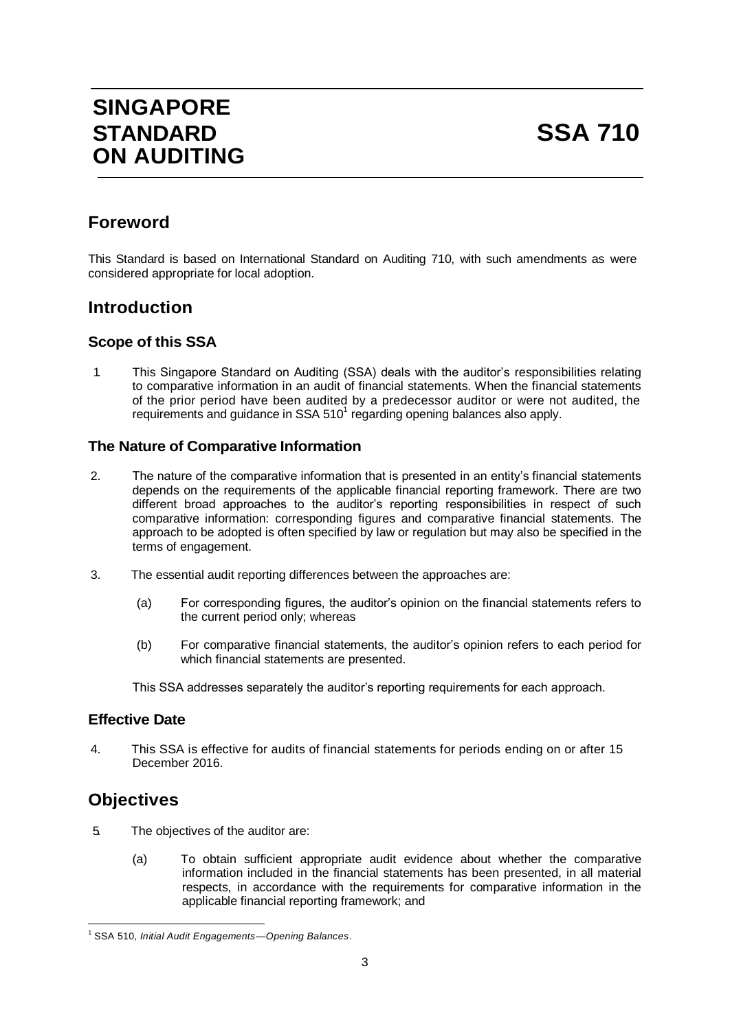# **Foreword**

This Standard is based on International Standard on Auditing 710, with such amendments as were considered appropriate for local adoption.

# **Introduction**

### **Scope of this SSA**

1. This Singapore Standard on Auditing (SSA) deals with the auditor's responsibilities relating to comparative information in an audit of financial statements. When the financial statements of the prior period have been audited by a predecessor auditor or were not audited, the requirements and guidance in SSA 510 $^1$  regarding opening balances also apply.

### **The Nature of Comparative Information**

- 2. The nature of the comparative information that is presented in an entity's financial statements depends on the requirements of the applicable financial reporting framework. There are two different broad approaches to the auditor's reporting responsibilities in respect of such comparative information: corresponding figures and comparative financial statements. The approach to be adopted is often specified by law or regulation but may also be specified in the terms of engagement.
- 3. The essential audit reporting differences between the approaches are:
	- (a) For corresponding figures, the auditor's opinion on the financial statements refers to the current period only; whereas
	- (b) For comparative financial statements, the auditor's opinion refers to each period for which financial statements are presented.

This SSA addresses separately the auditor's reporting requirements for each approach.

### **Effective Date**

4. This SSA is effective for audits of financial statements for periods ending on or after 15 December 2016.

# **Objectives**

- 5. The objectives of the auditor are:
	- (a) To obtain sufficient appropriate audit evidence about whether the comparative information included in the financial statements has been presented, in all material respects, in accordance with the requirements for comparative information in the applicable financial reporting framework; and

<sup>1</sup> 1 SSA 510, *Initial Audit Engagements—Opening Balances*.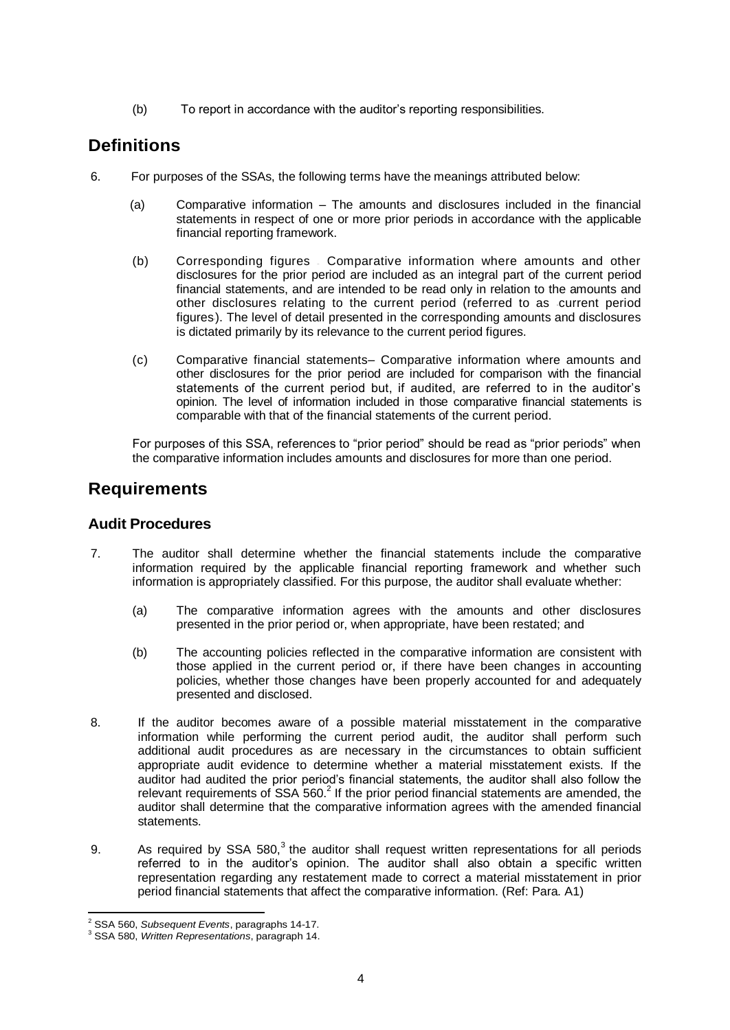(b) To report in accordance with the auditor's reporting responsibilities.

# **Definitions**

- 6. For purposes of the SSAs, the following terms have the meanings attributed below:
	- (a) Comparative information The amounts and disclosures included in the financial statements in respect of one or more prior periods in accordance with the applicable financial reporting framework.
	- (b) Corresponding figures Comparative information where amounts and other disclosures for the prior period are included as an integral part of the current period financial statements, and are intended to be read only in relation to the amounts and other disclosures relating to the current period (referred to as "current period figures). The level of detail presented in the corresponding amounts and disclosures is dictated primarily by its relevance to the current period figures.
	- (c) Comparative financial statements– Comparative information where amounts and other disclosures for the prior period are included for comparison with the financial statements of the current period but, if audited, are referred to in the auditor's opinion. The level of information included in those comparative financial statements is comparable with that of the financial statements of the current period.

For purposes of this SSA, references to "prior period" should be read as "prior periods" when the comparative information includes amounts and disclosures for more than one period.

# **Requirements**

### **Audit Procedures**

- 7. The auditor shall determine whether the financial statements include the comparative information required by the applicable financial reporting framework and whether such information is appropriately classified. For this purpose, the auditor shall evaluate whether:
	- (a) The comparative information agrees with the amounts and other disclosures presented in the prior period or, when appropriate, have been restated; and
	- (b) The accounting policies reflected in the comparative information are consistent with those applied in the current period or, if there have been changes in accounting policies, whether those changes have been properly accounted for and adequately presented and disclosed.
- 8. If the auditor becomes aware of a possible material misstatement in the comparative information while performing the current period audit, the auditor shall perform such additional audit procedures as are necessary in the circumstances to obtain sufficient appropriate audit evidence to determine whether a material misstatement exists. If the auditor had audited the prior period's financial statements, the auditor shall also follow the relevant requirements of SSA 560. $^2$  If the prior period financial statements are amended, the auditor shall determine that the comparative information agrees with the amended financial statements.
- 9. As required by SSA 580, $3$  the auditor shall request written representations for all periods referred to in the auditor's opinion. The auditor shall also obtain a specific written representation regarding any restatement made to correct a material misstatement in prior period financial statements that affect the comparative information. (Ref: Para. A1)

 2 SSA 560, *Subsequent Events*, paragraphs 14-17.

<sup>3</sup> SSA 580, *Written Representations*, paragraph 14.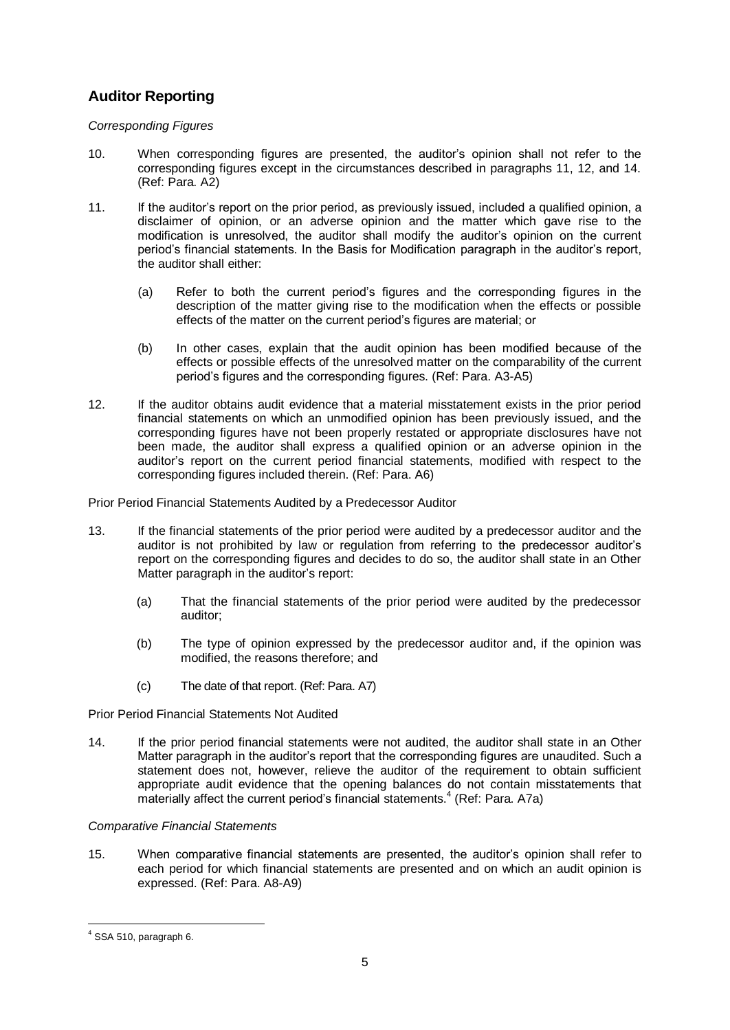# **Auditor Reporting**

### *Corresponding Figures*

- 10. When corresponding figures are presented, the auditor's opinion shall not refer to the corresponding figures except in the circumstances described in paragraphs 11, 12, and 14. (Ref: Para. A2)
- 11. If the auditor's report on the prior period, as previously issued, included a qualified opinion, a disclaimer of opinion, or an adverse opinion and the matter which gave rise to the modification is unresolved, the auditor shall modify the auditor's opinion on the current period's financial statements. In the Basis for Modification paragraph in the auditor's report, the auditor shall either:
	- (a) Refer to both the current period's figures and the corresponding figures in the description of the matter giving rise to the modification when the effects or possible effects of the matter on the current period's figures are material; or
	- (b) In other cases, explain that the audit opinion has been modified because of the effects or possible effects of the unresolved matter on the comparability of the current period's figures and the corresponding figures. (Ref: Para. A3-A5)
- 12. If the auditor obtains audit evidence that a material misstatement exists in the prior period financial statements on which an unmodified opinion has been previously issued, and the corresponding figures have not been properly restated or appropriate disclosures have not been made, the auditor shall express a qualified opinion or an adverse opinion in the auditor's report on the current period financial statements, modified with respect to the corresponding figures included therein. (Ref: Para. A6)

Prior Period Financial Statements Audited by a Predecessor Auditor

- 13. If the financial statements of the prior period were audited by a predecessor auditor and the auditor is not prohibited by law or regulation from referring to the predecessor auditor's report on the corresponding figures and decides to do so, the auditor shall state in an Other Matter paragraph in the auditor's report:
	- (a) That the financial statements of the prior period were audited by the predecessor auditor;
	- (b) The type of opinion expressed by the predecessor auditor and, if the opinion was modified, the reasons therefore; and
	- (c) The date of that report. (Ref: Para. A7)

Prior Period Financial Statements Not Audited

14. If the prior period financial statements were not audited, the auditor shall state in an Other Matter paragraph in the auditor's report that the corresponding figures are unaudited. Such a statement does not, however, relieve the auditor of the requirement to obtain sufficient appropriate audit evidence that the opening balances do not contain misstatements that materially affect the current period's financial statements.<sup>4</sup> (Ref: Para. A7a)

### *Comparative Financial Statements*

15. When comparative financial statements are presented, the auditor's opinion shall refer to each period for which financial statements are presented and on which an audit opinion is expressed. (Ref: Para. A8-A9)

<sup>1</sup>  $<sup>4</sup>$  SSA 510, paragraph 6.</sup>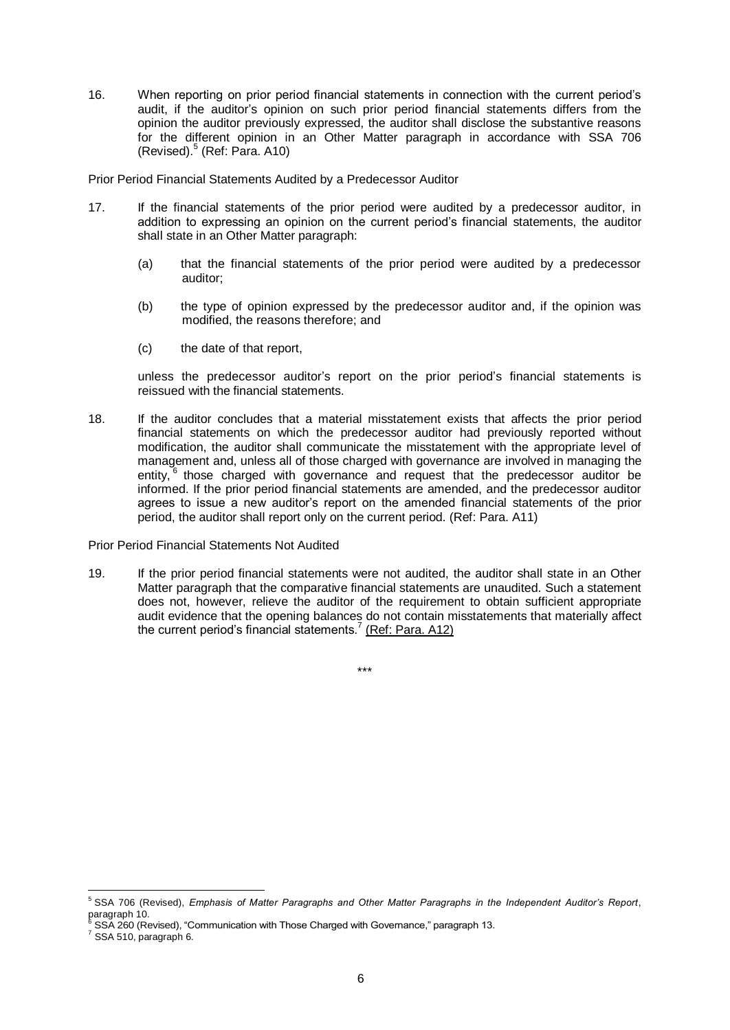16. When reporting on prior period financial statements in connection with the current period's audit, if the auditor's opinion on such prior period financial statements differs from the opinion the auditor previously expressed, the auditor shall disclose the substantive reasons for the different opinion in an Other Matter paragraph in accordance with SSA 706 (Revised).<sup>5</sup> (Ref: Para. A10)

Prior Period Financial Statements Audited by a Predecessor Auditor

- 17. If the financial statements of the prior period were audited by a predecessor auditor, in addition to expressing an opinion on the current period's financial statements, the auditor shall state in an Other Matter paragraph:
	- (a) that the financial statements of the prior period were audited by a predecessor auditor;
	- (b) the type of opinion expressed by the predecessor auditor and, if the opinion was modified, the reasons therefore; and
	- (c) the date of that report,

unless the predecessor auditor's report on the prior period's financial statements is reissued with the financial statements.

18. If the auditor concludes that a material misstatement exists that affects the prior period financial statements on which the predecessor auditor had previously reported without modification, the auditor shall communicate the misstatement with the appropriate level of management and, unless all of those charged with governance are involved in managing the entity, $6$  those charged with governance and request that the predecessor auditor be informed. If the prior period financial statements are amended, and the predecessor auditor agrees to issue a new auditor's report on the amended financial statements of the prior period, the auditor shall report only on the current period. (Ref: Para. A11)

Prior Period Financial Statements Not Audited

19. If the prior period financial statements were not audited, the auditor shall state in an Other Matter paragraph that the comparative financial statements are unaudited. Such a statement does not, however, relieve the auditor of the requirement to obtain sufficient appropriate audit evidence that the opening balances do not contain misstatements that materially affect the current period's financial statements.<sup>7</sup> (Ref: Para. A12)

\*\*\*

 5 SSA 706 (Revised), *Emphasis of Matter Paragraphs and Other Matter Paragraphs in the Independent Auditor's Report*, paragraph 10. 6

SSA 260 (Revised), "Communication with Those Charged with Governance," paragraph 13.

 $7$  SSA 510, paragraph 6.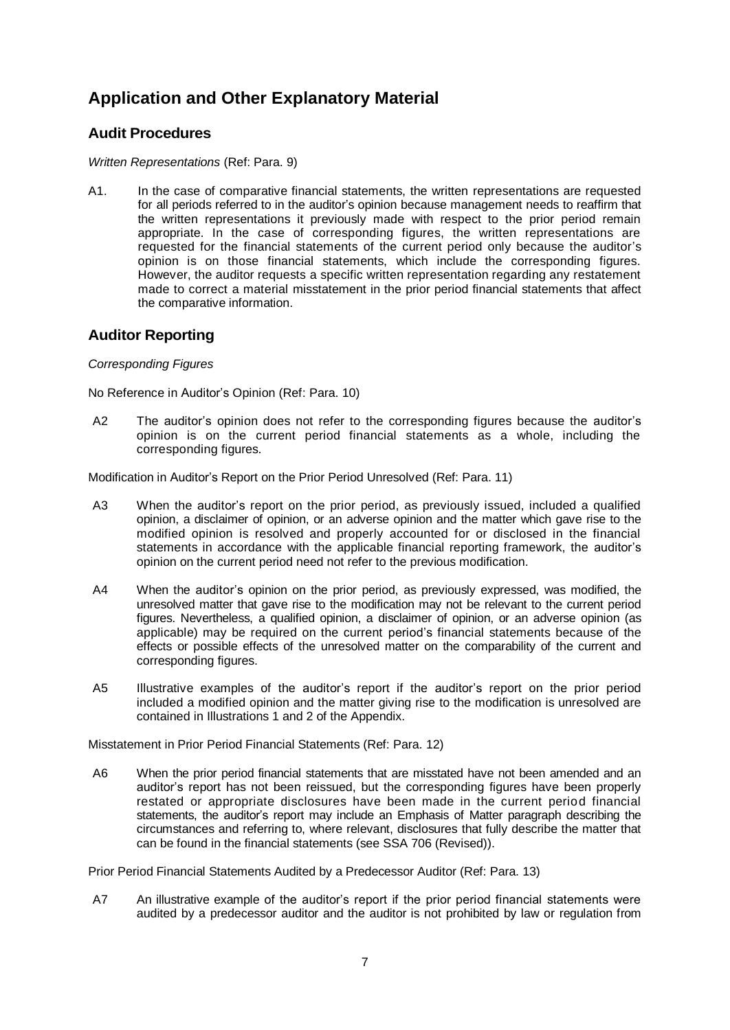# **Application and Other Explanatory Material**

### **Audit Procedures**

### *Written Representations* (Ref: Para. 9)

A1. In the case of comparative financial statements, the written representations are requested for all periods referred to in the auditor's opinion because management needs to reaffirm that the written representations it previously made with respect to the prior period remain appropriate. In the case of corresponding figures, the written representations are requested for the financial statements of the current period only because the auditor's opinion is on those financial statements, which include the corresponding figures. However, the auditor requests a specific written representation regarding any restatement made to correct a material misstatement in the prior period financial statements that affect the comparative information.

### **Auditor Reporting**

### *Corresponding Figures*

No Reference in Auditor's Opinion (Ref: Para. 10)

A2 The auditor's opinion does not refer to the corresponding figures because the auditor's opinion is on the current period financial statements as a whole, including the corresponding figures.

Modification in Auditor's Report on the Prior Period Unresolved (Ref: Para. 11)

- A3 When the auditor's report on the prior period, as previously issued, included a qualified opinion, a disclaimer of opinion, or an adverse opinion and the matter which gave rise to the modified opinion is resolved and properly accounted for or disclosed in the financial statements in accordance with the applicable financial reporting framework, the auditor's opinion on the current period need not refer to the previous modification.
- A4 When the auditor's opinion on the prior period, as previously expressed, was modified, the unresolved matter that gave rise to the modification may not be relevant to the current period figures. Nevertheless, a qualified opinion, a disclaimer of opinion, or an adverse opinion (as applicable) may be required on the current period's financial statements because of the effects or possible effects of the unresolved matter on the comparability of the current and corresponding figures.
- A5 Illustrative examples of the auditor's report if the auditor's report on the prior period included a modified opinion and the matter giving rise to the modification is unresolved are contained in Illustrations 1 and 2 of the Appendix.

Misstatement in Prior Period Financial Statements (Ref: Para. 12)

A6 When the prior period financial statements that are misstated have not been amended and an auditor's report has not been reissued, but the corresponding figures have been properly restated or appropriate disclosures have been made in the current period financial statements, the auditor's report may include an Emphasis of Matter paragraph describing the circumstances and referring to, where relevant, disclosures that fully describe the matter that can be found in the financial statements (see SSA 706 (Revised)).

Prior Period Financial Statements Audited by a Predecessor Auditor (Ref: Para. 13)

A7 An illustrative example of the auditor's report if the prior period financial statements were audited by a predecessor auditor and the auditor is not prohibited by law or regulation from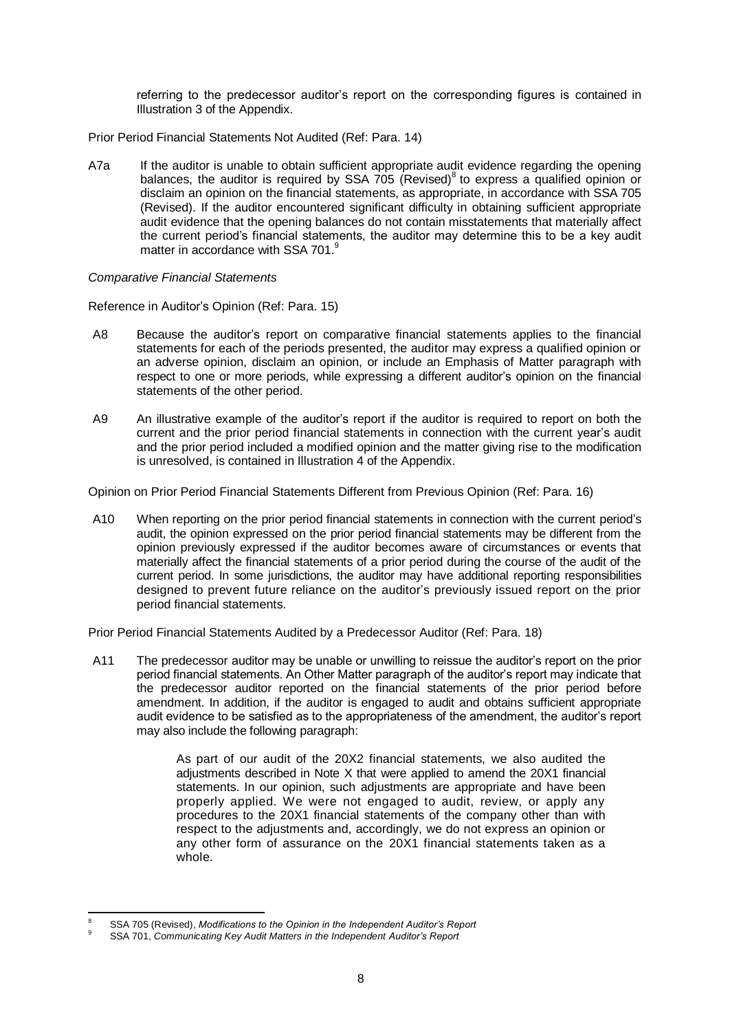referring to the predecessor auditor's report on the corresponding figures is contained in Illustration 3 of the Appendix.

Prior Period Financial Statements Not Audited (Ref: Para. 14)

A7a If the auditor is unable to obtain sufficient appropriate audit evidence regarding the opening balances, the auditor is required by SSA  $705$  (Revised)<sup>8</sup> to express a qualified opinion or disclaim an opinion on the financial statements, as appropriate, in accordance with SSA 705 (Revised). If the auditor encountered significant difficulty in obtaining sufficient appropriate audit evidence that the opening balances do not contain misstatements that materially affect the current period's financial statements, the auditor may determine this to be a key audit matter in accordance with SSA 701.<sup>9</sup>

#### *Comparative Financial Statements*

Reference in Auditor's Opinion (Ref: Para. 15)

- A8 Because the auditor's report on comparative financial statements applies to the financial statements for each of the periods presented, the auditor may express a qualified opinion or an adverse opinion, disclaim an opinion, or include an Emphasis of Matter paragraph with respect to one or more periods, while expressing a different auditor's opinion on the financial statements of the other period.
- A9 An illustrative example of the auditor's report if the auditor is required to report on both the current and the prior period financial statements in connection with the current year's audit and the prior period included a modified opinion and the matter giving rise to the modification is unresolved, is contained in Illustration 4 of the Appendix.

Opinion on Prior Period Financial Statements Different from Previous Opinion (Ref: Para. 16)

A10 When reporting on the prior period financial statements in connection with the current period's audit, the opinion expressed on the prior period financial statements may be different from the opinion previously expressed if the auditor becomes aware of circumstances or events that materially affect the financial statements of a prior period during the course of the audit of the current period. In some jurisdictions, the auditor may have additional reporting responsibilities designed to prevent future reliance on the auditor's previously issued report on the prior period financial statements.

Prior Period Financial Statements Audited by a Predecessor Auditor (Ref: Para. 18)

A11 The predecessor auditor may be unable or unwilling to reissue the auditor's report on the prior period financial statements. An Other Matter paragraph of the auditor's report may indicate that the predecessor auditor reported on the financial statements of the prior period before amendment. In addition, if the auditor is engaged to audit and obtains sufficient appropriate audit evidence to be satisfied as to the appropriateness of the amendment, the auditor's report may also include the following paragraph:

> As part of our audit of the 20X2 financial statements, we also audited the adjustments described in Note X that were applied to amend the 20X1 financial statements. In our opinion, such adjustments are appropriate and have been properly applied. We were not engaged to audit, review, or apply any procedures to the 20X1 financial statements of the company other than with respect to the adjustments and, accordingly, we do not express an opinion or any other form of assurance on the 20X1 financial statements taken as a whole.

<sup>1</sup> 8 SSA 705 (Revised), *Modifications to the Opinion in the Independent Auditor's Report*

<sup>9</sup> SSA 701, *Communicating Key Audit Matters in the Independent Auditor's Report*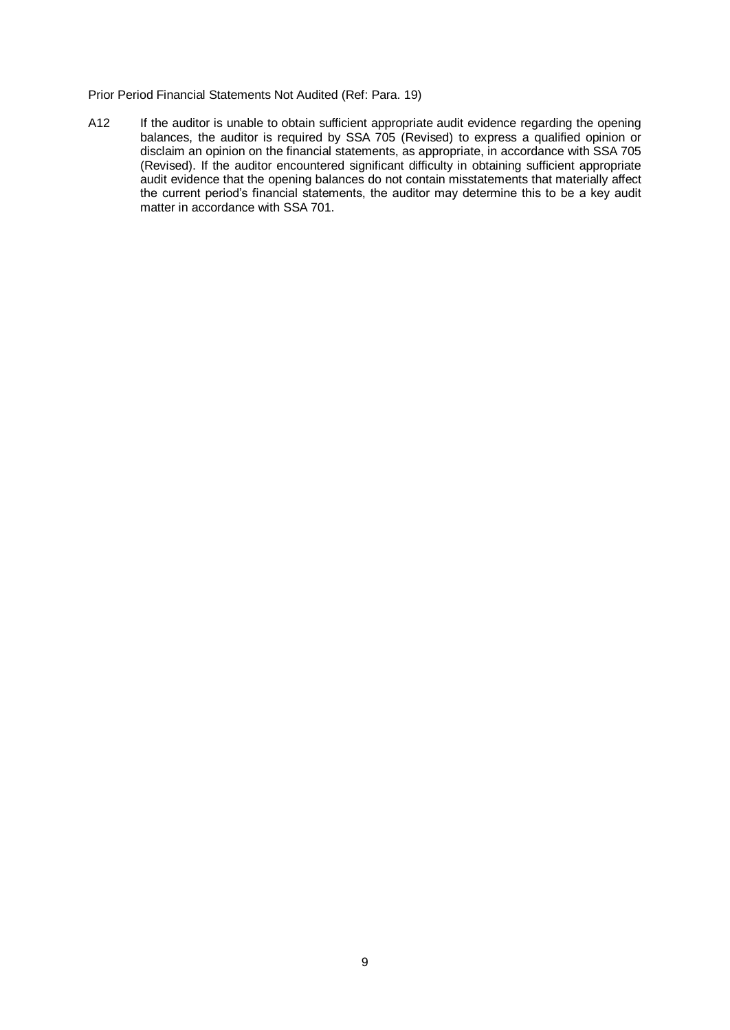Prior Period Financial Statements Not Audited (Ref: Para. 19)

A12 If the auditor is unable to obtain sufficient appropriate audit evidence regarding the opening balances, the auditor is required by SSA 705 (Revised) to express a qualified opinion or disclaim an opinion on the financial statements, as appropriate, in accordance with SSA 705 (Revised). If the auditor encountered significant difficulty in obtaining sufficient appropriate audit evidence that the opening balances do not contain misstatements that materially affect the current period's financial statements, the auditor may determine this to be a key audit matter in accordance with SSA 701.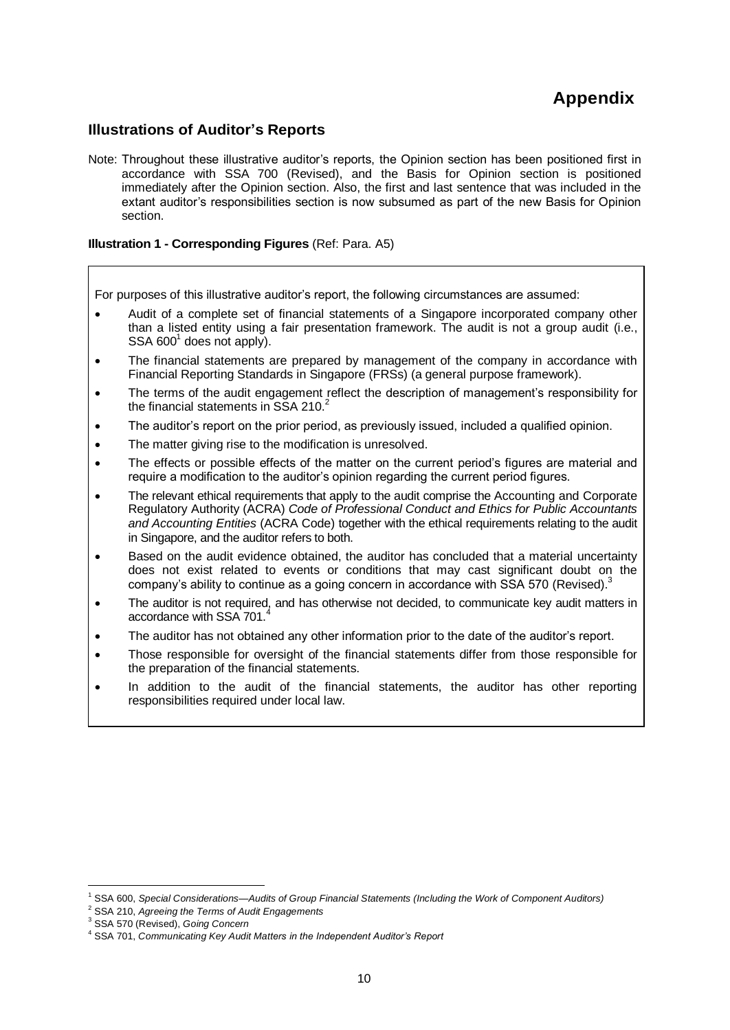# **Appendix**

### **Illustrations of Auditor's Reports**

Note: Throughout these illustrative auditor's reports, the Opinion section has been positioned first in accordance with SSA 700 (Revised), and the Basis for Opinion section is positioned immediately after the Opinion section. Also, the first and last sentence that was included in the extant auditor's responsibilities section is now subsumed as part of the new Basis for Opinion section.

### **Illustration 1 - Corresponding Figures** (Ref: Para. A5)

For purposes of this illustrative auditor's report, the following circumstances are assumed:

- Audit of a complete set of financial statements of a Singapore incorporated company other than a listed entity using a fair presentation framework. The audit is not a group audit (i.e., SSA 600<sup>1</sup> does not apply).
- The financial statements are prepared by management of the company in accordance with Financial Reporting Standards in Singapore (FRSs) (a general purpose framework).
- The terms of the audit engagement reflect the description of management's responsibility for the financial statements in SSA 210.<sup>2</sup>
- The auditor's report on the prior period, as previously issued, included a qualified opinion.
- The matter giving rise to the modification is unresolved.
- The effects or possible effects of the matter on the current period's figures are material and require a modification to the auditor's opinion regarding the current period figures.
- The relevant ethical requirements that apply to the audit comprise the Accounting and Corporate Regulatory Authority (ACRA) *Code of Professional Conduct and Ethics for Public Accountants and Accounting Entities* (ACRA Code) together with the ethical requirements relating to the audit in Singapore, and the auditor refers to both.
- Based on the audit evidence obtained, the auditor has concluded that a material uncertainty does not exist related to events or conditions that may cast significant doubt on the company's ability to continue as a going concern in accordance with SSA 570 (Revised).
- The auditor is not required, and has otherwise not decided, to communicate key audit matters in accordance with SSA 701.4
- The auditor has not obtained any other information prior to the date of the auditor's report.
- Those responsible for oversight of the financial statements differ from those responsible for the preparation of the financial statements.
- In addition to the audit of the financial statements, the auditor has other reporting responsibilities required under local law.

**.** 

<sup>1</sup> SSA 600, *Special Considerations—Audits of Group Financial Statements (Including the Work of Component Auditors)*

<sup>2</sup> SSA 210, *Agreeing the Terms of Audit Engagements*

<sup>3</sup> SSA 570 (Revised), *Going Concern*

<sup>4</sup> SSA 701, *Communicating Key Audit Matters in the Independent Auditor's Report*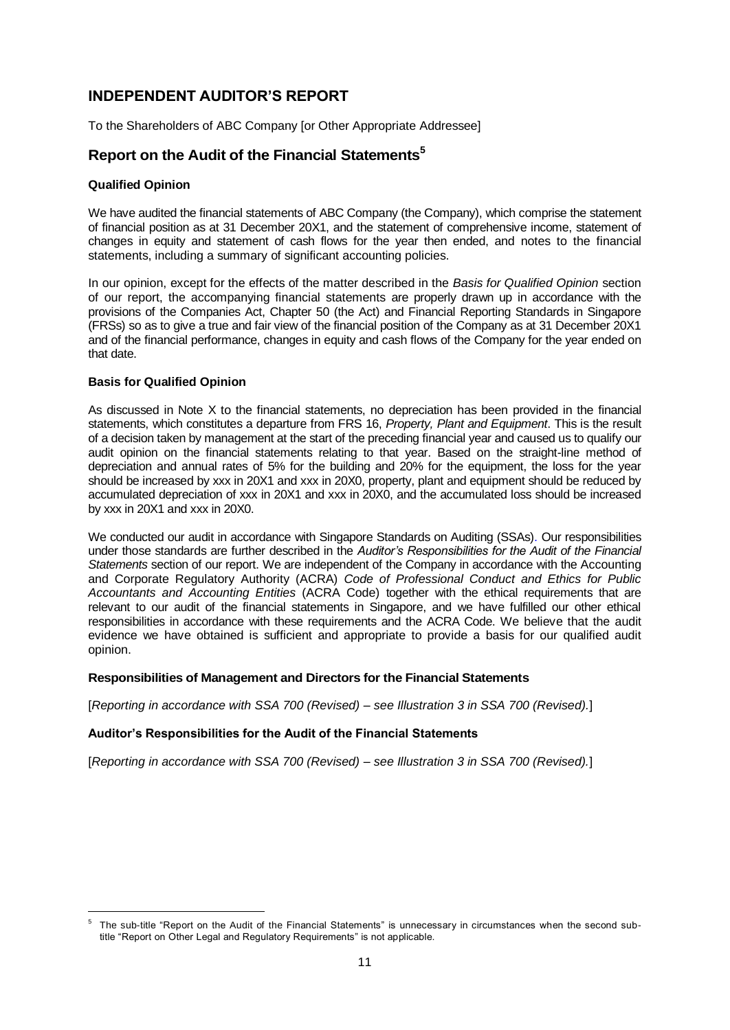# **INDEPENDENT AUDITOR'S REPORT**

To the Shareholders of ABC Company [or Other Appropriate Addressee]

### **Report on the Audit of the Financial Statements<sup>5</sup>**

### **Qualified Opinion**

We have audited the financial statements of ABC Company (the Company), which comprise the statement of financial position as at 31 December 20X1, and the statement of comprehensive income, statement of changes in equity and statement of cash flows for the year then ended, and notes to the financial statements, including a summary of significant accounting policies.

In our opinion, except for the effects of the matter described in the *Basis for Qualified Opinion* section of our report, the accompanying financial statements are properly drawn up in accordance with the provisions of the Companies Act, Chapter 50 (the Act) and Financial Reporting Standards in Singapore (FRSs) so as to give a true and fair view of the financial position of the Company as at 31 December 20X1 and of the financial performance, changes in equity and cash flows of the Company for the year ended on that date.

### **Basis for Qualified Opinion**

**.** 

As discussed in Note X to the financial statements, no depreciation has been provided in the financial statements, which constitutes a departure from FRS 16, *Property, Plant and Equipment*. This is the result of a decision taken by management at the start of the preceding financial year and caused us to qualify our audit opinion on the financial statements relating to that year. Based on the straight-line method of depreciation and annual rates of 5% for the building and 20% for the equipment, the loss for the year should be increased by xxx in 20X1 and xxx in 20X0, property, plant and equipment should be reduced by accumulated depreciation of xxx in 20X1 and xxx in 20X0, and the accumulated loss should be increased by xxx in 20X1 and xxx in 20X0.

We conducted our audit in accordance with Singapore Standards on Auditing (SSAs). Our responsibilities under those standards are further described in the *Auditor's Responsibilities for the Audit of the Financial Statements* section of our report. We are independent of the Company in accordance with the Accounting and Corporate Regulatory Authority (ACRA) *Code of Professional Conduct and Ethics for Public Accountants and Accounting Entities* (ACRA Code) together with the ethical requirements that are relevant to our audit of the financial statements in Singapore, and we have fulfilled our other ethical responsibilities in accordance with these requirements and the ACRA Code. We believe that the audit evidence we have obtained is sufficient and appropriate to provide a basis for our qualified audit opinion.

#### **Responsibilities of Management and Directors for the Financial Statements**

[*Reporting in accordance with SSA 700 (Revised) – see Illustration 3 in SSA 700 (Revised).*]

### **Auditor's Responsibilities for the Audit of the Financial Statements**

[*Reporting in accordance with SSA 700 (Revised) – see Illustration 3 in SSA 700 (Revised).*]

 $5$  The sub-title "Report on the Audit of the Financial Statements" is unnecessary in circumstances when the second subtitle "Report on Other Legal and Regulatory Requirements" is not applicable.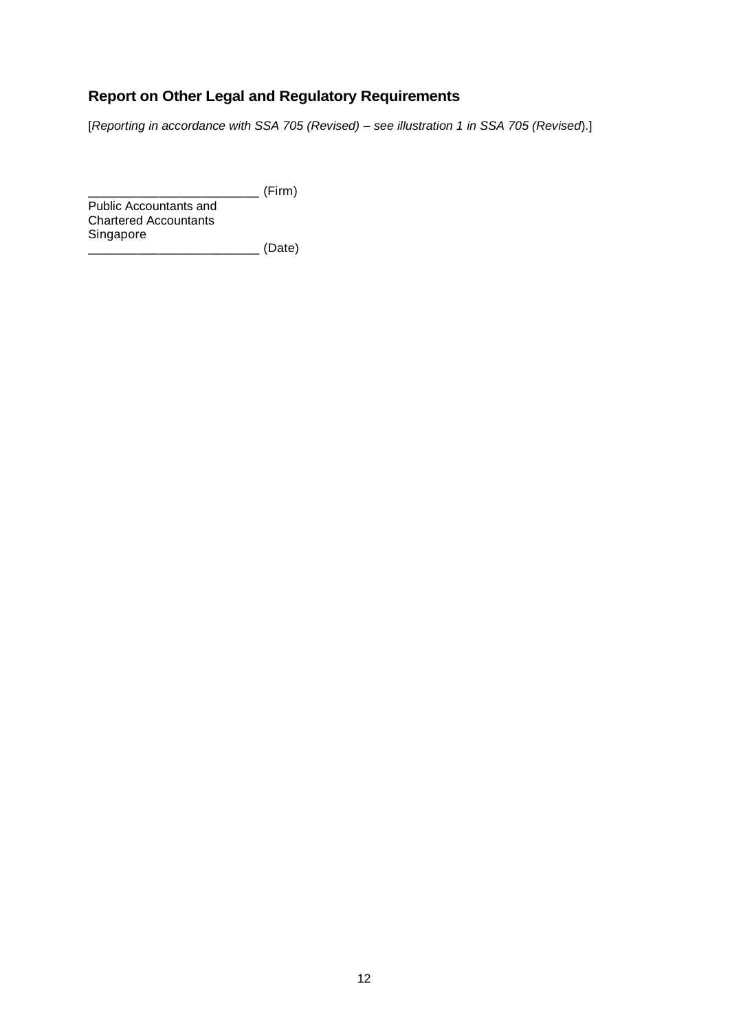# **Report on Other Legal and Regulatory Requirements**

[*Reporting in accordance with SSA 705 (Revised) – see illustration 1 in SSA 705 (Revised*).]

 $\frac{1}{2}$  (Firm) Public Accountants and Chartered Accountants Singapore \_\_\_\_\_\_\_\_\_\_\_\_\_\_\_\_\_\_\_\_\_\_\_\_ (Date)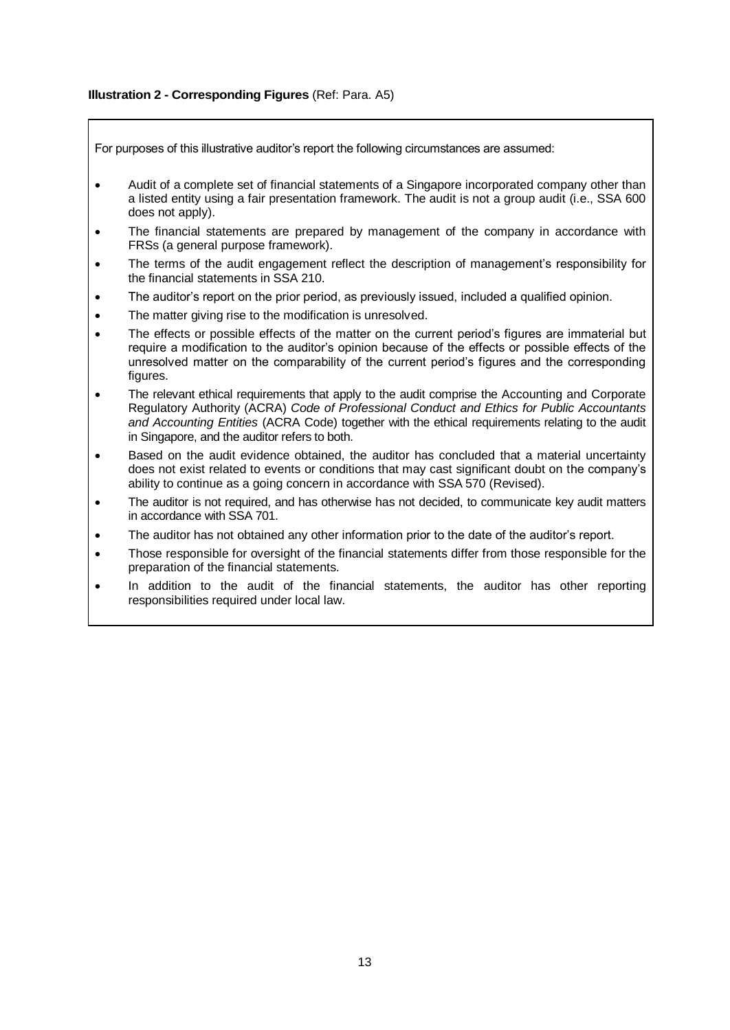### **Illustration 2 - Corresponding Figures** (Ref: Para. A5)

For purposes of this illustrative auditor's report the following circumstances are assumed:

- Audit of a complete set of financial statements of a Singapore incorporated company other than a listed entity using a fair presentation framework. The audit is not a group audit (i.e., SSA 600 does not apply).
- The financial statements are prepared by management of the company in accordance with FRSs (a general purpose framework).
- The terms of the audit engagement reflect the description of management's responsibility for the financial statements in SSA 210.
- The auditor's report on the prior period, as previously issued, included a qualified opinion.
- The matter giving rise to the modification is unresolved.
- The effects or possible effects of the matter on the current period's figures are immaterial but require a modification to the auditor's opinion because of the effects or possible effects of the unresolved matter on the comparability of the current period's figures and the corresponding figures.
- The relevant ethical requirements that apply to the audit comprise the Accounting and Corporate Regulatory Authority (ACRA) *Code of Professional Conduct and Ethics for Public Accountants and Accounting Entities* (ACRA Code) together with the ethical requirements relating to the audit in Singapore, and the auditor refers to both.
- Based on the audit evidence obtained, the auditor has concluded that a material uncertainty does not exist related to events or conditions that may cast significant doubt on the company's ability to continue as a going concern in accordance with SSA 570 (Revised).
- The auditor is not required, and has otherwise has not decided, to communicate key audit matters in accordance with SSA 701.
- The auditor has not obtained any other information prior to the date of the auditor's report.
- Those responsible for oversight of the financial statements differ from those responsible for the preparation of the financial statements.
- In addition to the audit of the financial statements, the auditor has other reporting responsibilities required under local law.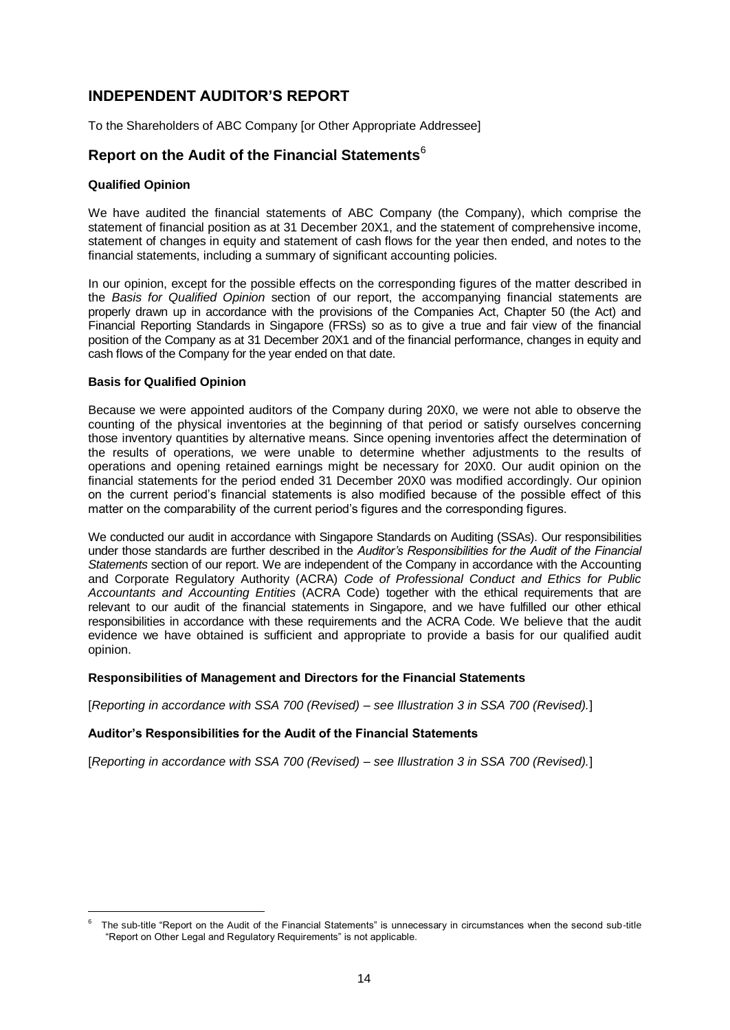# **INDEPENDENT AUDITOR'S REPORT**

To the Shareholders of ABC Company [or Other Appropriate Addressee]

### **Report on the Audit of the Financial Statements**<sup>6</sup>

### **Qualified Opinion**

We have audited the financial statements of ABC Company (the Company), which comprise the statement of financial position as at 31 December 20X1, and the statement of comprehensive income, statement of changes in equity and statement of cash flows for the year then ended, and notes to the financial statements, including a summary of significant accounting policies.

In our opinion, except for the possible effects on the corresponding figures of the matter described in the *Basis for Qualified Opinion* section of our report, the accompanying financial statements are properly drawn up in accordance with the provisions of the Companies Act, Chapter 50 (the Act) and Financial Reporting Standards in Singapore (FRSs) so as to give a true and fair view of the financial position of the Company as at 31 December 20X1 and of the financial performance, changes in equity and cash flows of the Company for the year ended on that date.

### **Basis for Qualified Opinion**

**.** 

Because we were appointed auditors of the Company during 20X0, we were not able to observe the counting of the physical inventories at the beginning of that period or satisfy ourselves concerning those inventory quantities by alternative means. Since opening inventories affect the determination of the results of operations, we were unable to determine whether adjustments to the results of operations and opening retained earnings might be necessary for 20X0. Our audit opinion on the financial statements for the period ended 31 December 20X0 was modified accordingly. Our opinion on the current period's financial statements is also modified because of the possible effect of this matter on the comparability of the current period's figures and the corresponding figures.

We conducted our audit in accordance with Singapore Standards on Auditing (SSAs). Our responsibilities under those standards are further described in the *Auditor's Responsibilities for the Audit of the Financial Statements* section of our report. We are independent of the Company in accordance with the Accounting and Corporate Regulatory Authority (ACRA) *Code of Professional Conduct and Ethics for Public Accountants and Accounting Entities* (ACRA Code) together with the ethical requirements that are relevant to our audit of the financial statements in Singapore, and we have fulfilled our other ethical responsibilities in accordance with these requirements and the ACRA Code. We believe that the audit evidence we have obtained is sufficient and appropriate to provide a basis for our qualified audit opinion.

#### **Responsibilities of Management and Directors for the Financial Statements**

[*Reporting in accordance with SSA 700 (Revised) – see Illustration 3 in SSA 700 (Revised).*]

### **Auditor's Responsibilities for the Audit of the Financial Statements**

[*Reporting in accordance with SSA 700 (Revised) – see Illustration 3 in SSA 700 (Revised).*]

<sup>6</sup> The sub-title "Report on the Audit of the Financial Statements" is unnecessary in circumstances when the second sub-title "Report on Other Legal and Regulatory Requirements" is not applicable.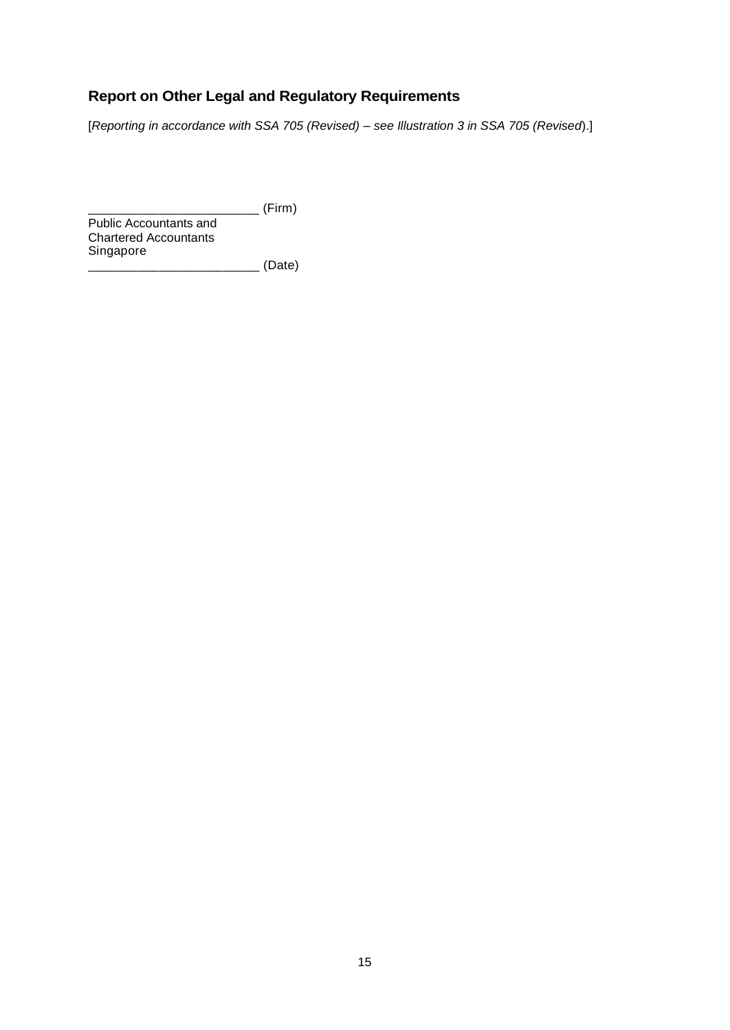# **Report on Other Legal and Regulatory Requirements**

[*Reporting in accordance with SSA 705 (Revised) – see Illustration 3 in SSA 705 (Revised*).]

 $\frac{1}{2}$  (Firm) Public Accountants and Chartered Accountants Singapore

\_\_\_\_\_\_\_\_\_\_\_\_\_\_\_\_\_\_\_\_\_\_\_\_ (Date)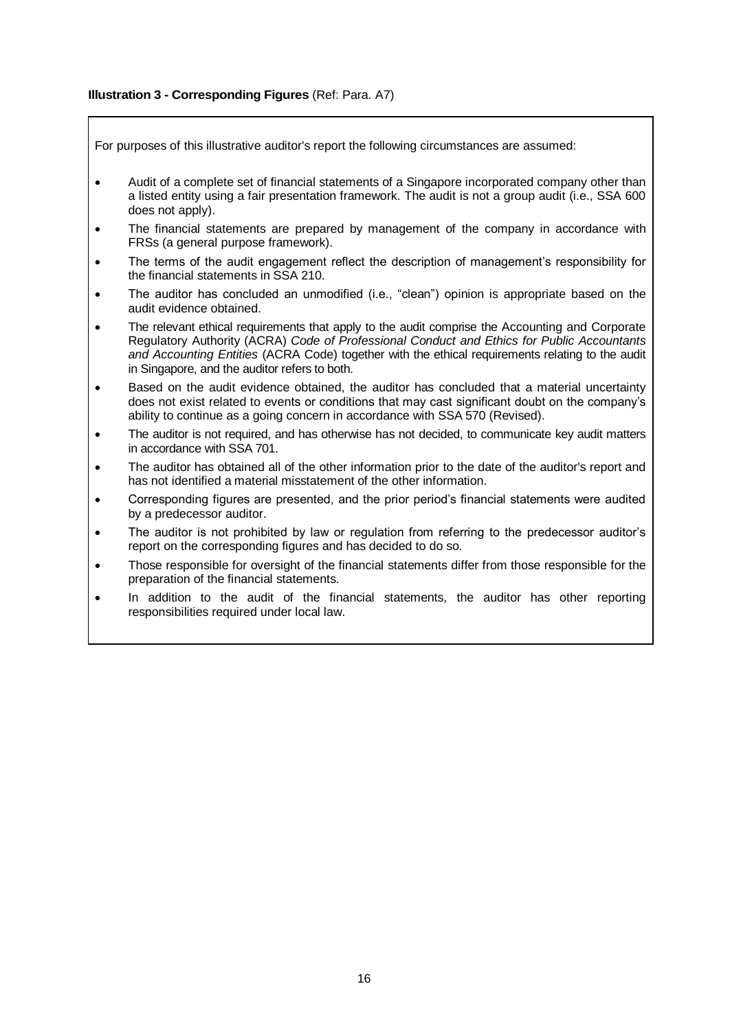### **Illustration 3 - Corresponding Figures** (Ref: Para. A7)

For purposes of this illustrative auditor's report the following circumstances are assumed:

- Audit of a complete set of financial statements of a Singapore incorporated company other than a listed entity using a fair presentation framework. The audit is not a group audit (i.e., SSA 600 does not apply).
- The financial statements are prepared by management of the company in accordance with FRSs (a general purpose framework).
- The terms of the audit engagement reflect the description of management's responsibility for the financial statements in SSA 210.
- The auditor has concluded an unmodified (i.e., "clean") opinion is appropriate based on the audit evidence obtained.
- The relevant ethical requirements that apply to the audit comprise the Accounting and Corporate Regulatory Authority (ACRA) *Code of Professional Conduct and Ethics for Public Accountants and Accounting Entities* (ACRA Code) together with the ethical requirements relating to the audit in Singapore, and the auditor refers to both.
- Based on the audit evidence obtained, the auditor has concluded that a material uncertainty does not exist related to events or conditions that may cast significant doubt on the company's ability to continue as a going concern in accordance with SSA 570 (Revised).
- The auditor is not required, and has otherwise has not decided, to communicate key audit matters in accordance with SSA 701.
- The auditor has obtained all of the other information prior to the date of the auditor's report and has not identified a material misstatement of the other information.
- Corresponding figures are presented, and the prior period's financial statements were audited by a predecessor auditor.
- The auditor is not prohibited by law or regulation from referring to the predecessor auditor's report on the corresponding figures and has decided to do so.
- Those responsible for oversight of the financial statements differ from those responsible for the preparation of the financial statements.
- In addition to the audit of the financial statements, the auditor has other reporting responsibilities required under local law.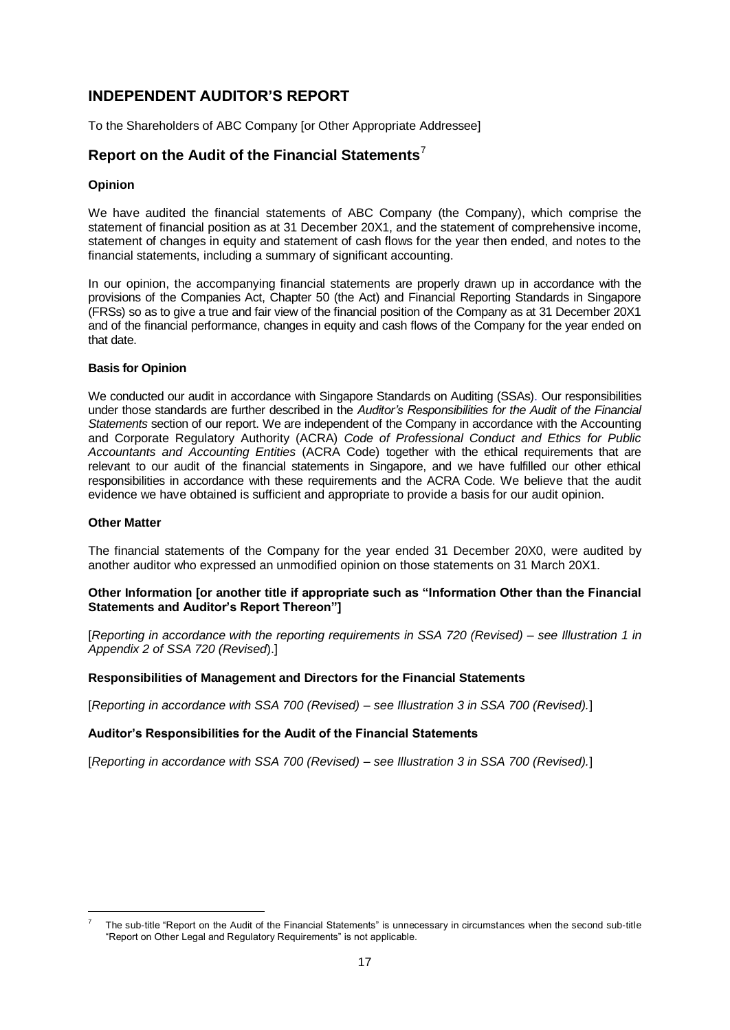# **INDEPENDENT AUDITOR'S REPORT**

To the Shareholders of ABC Company [or Other Appropriate Addressee]

### **Report on the Audit of the Financial Statements**<sup>7</sup>

### **Opinion**

We have audited the financial statements of ABC Company (the Company), which comprise the statement of financial position as at 31 December 20X1, and the statement of comprehensive income, statement of changes in equity and statement of cash flows for the year then ended, and notes to the financial statements, including a summary of significant accounting.

In our opinion, the accompanying financial statements are properly drawn up in accordance with the provisions of the Companies Act, Chapter 50 (the Act) and Financial Reporting Standards in Singapore (FRSs) so as to give a true and fair view of the financial position of the Company as at 31 December 20X1 and of the financial performance, changes in equity and cash flows of the Company for the year ended on that date.

### **Basis for Opinion**

We conducted our audit in accordance with Singapore Standards on Auditing (SSAs). Our responsibilities under those standards are further described in the *Auditor's Responsibilities for the Audit of the Financial Statements* section of our report. We are independent of the Company in accordance with the Accounting and Corporate Regulatory Authority (ACRA) *Code of Professional Conduct and Ethics for Public Accountants and Accounting Entities* (ACRA Code) together with the ethical requirements that are relevant to our audit of the financial statements in Singapore, and we have fulfilled our other ethical responsibilities in accordance with these requirements and the ACRA Code. We believe that the audit evidence we have obtained is sufficient and appropriate to provide a basis for our audit opinion.

#### **Other Matter**

**.** 

The financial statements of the Company for the year ended 31 December 20X0, were audited by another auditor who expressed an unmodified opinion on those statements on 31 March 20X1.

### **Other Information [or another title if appropriate such as "Information Other than the Financial Statements and Auditor's Report Thereon"]**

[*Reporting in accordance with the reporting requirements in SSA 720 (Revised) – see Illustration 1 in Appendix 2 of SSA 720 (Revised*).]

### **Responsibilities of Management and Directors for the Financial Statements**

[*Reporting in accordance with SSA 700 (Revised) – see Illustration 3 in SSA 700 (Revised).*]

### **Auditor's Responsibilities for the Audit of the Financial Statements**

[*Reporting in accordance with SSA 700 (Revised) – see Illustration 3 in SSA 700 (Revised).*]

<sup>7</sup> The sub-title "Report on the Audit of the Financial Statements" is unnecessary in circumstances when the second sub-title "Report on Other Legal and Regulatory Requirements" is not applicable.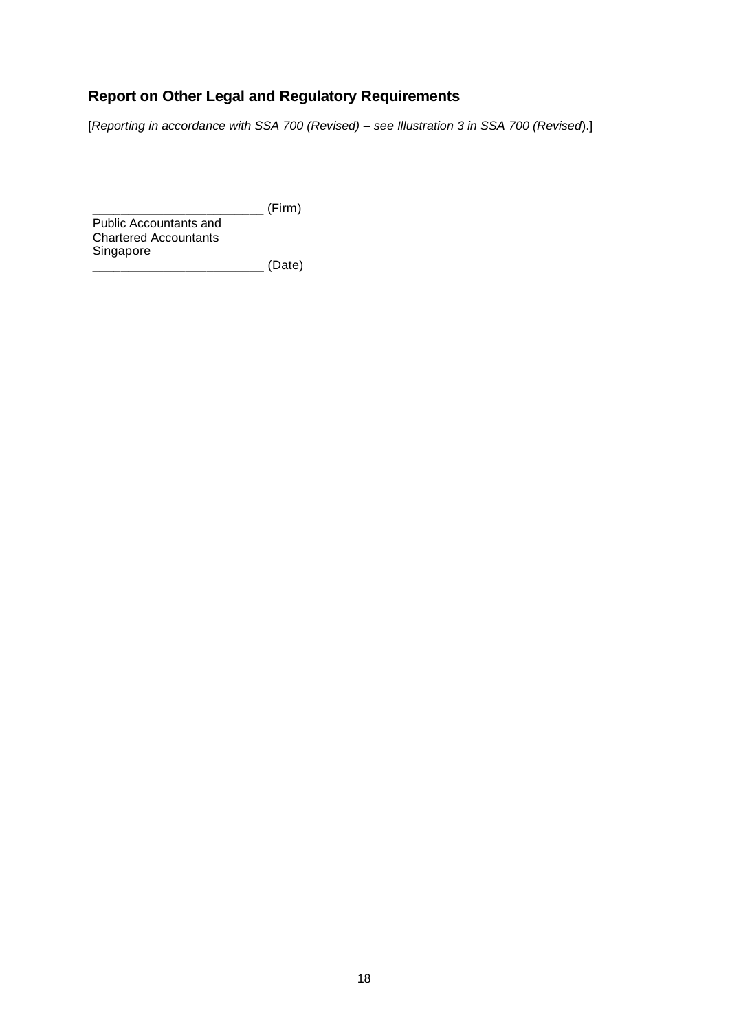# **Report on Other Legal and Regulatory Requirements**

[*Reporting in accordance with SSA 700 (Revised) – see Illustration 3 in SSA 700 (Revised*).]

\_\_\_\_\_\_\_\_\_\_\_\_\_\_\_\_\_\_\_\_\_\_\_\_ (Firm)

Public Accountants and Chartered Accountants Singapore

\_\_\_\_\_\_\_\_\_\_\_\_\_\_\_\_\_\_\_\_\_\_\_\_ (Date)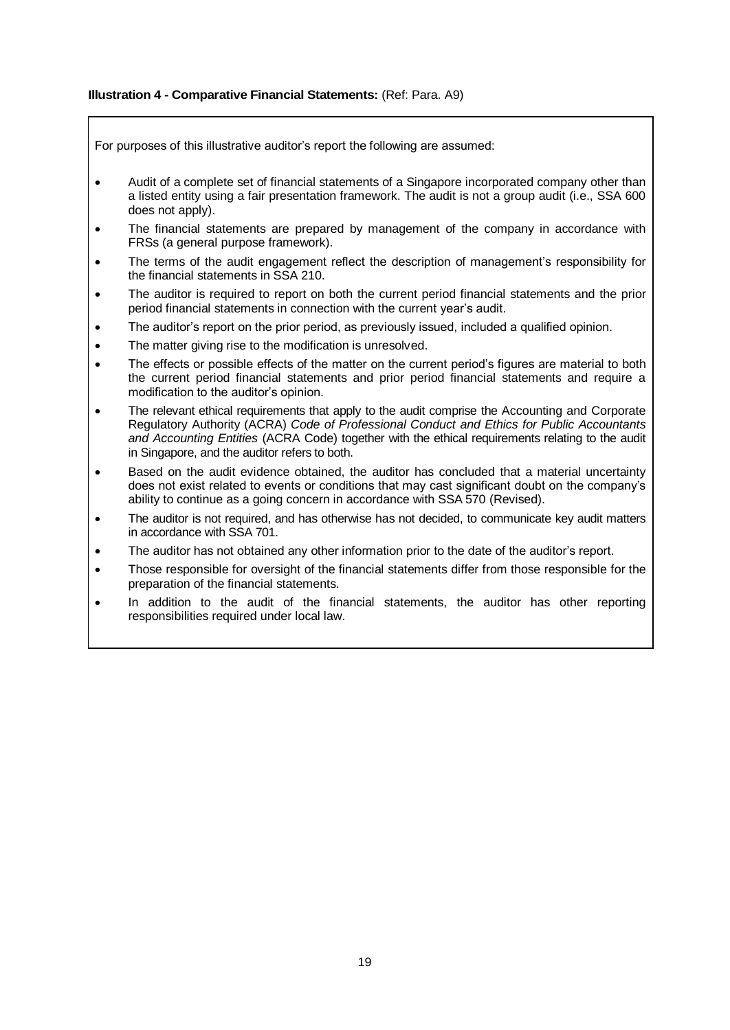### **Illustration 4 - Comparative Financial Statements:** (Ref: Para. A9)

For purposes of this illustrative auditor's report the following are assumed:

- Audit of a complete set of financial statements of a Singapore incorporated company other than a listed entity using a fair presentation framework. The audit is not a group audit (i.e., SSA 600 does not apply).
- The financial statements are prepared by management of the company in accordance with FRSs (a general purpose framework).
- The terms of the audit engagement reflect the description of management's responsibility for the financial statements in SSA 210.
- The auditor is required to report on both the current period financial statements and the prior period financial statements in connection with the current year's audit.
- The auditor's report on the prior period, as previously issued, included a qualified opinion.
- The matter giving rise to the modification is unresolved.
- The effects or possible effects of the matter on the current period's figures are material to both the current period financial statements and prior period financial statements and require a modification to the auditor's opinion.
- The relevant ethical requirements that apply to the audit comprise the Accounting and Corporate Regulatory Authority (ACRA) *Code of Professional Conduct and Ethics for Public Accountants and Accounting Entities* (ACRA Code) together with the ethical requirements relating to the audit in Singapore, and the auditor refers to both.
- Based on the audit evidence obtained, the auditor has concluded that a material uncertainty does not exist related to events or conditions that may cast significant doubt on the company's ability to continue as a going concern in accordance with SSA 570 (Revised).
- The auditor is not required, and has otherwise has not decided, to communicate key audit matters in accordance with SSA 701.
- The auditor has not obtained any other information prior to the date of the auditor's report.
- Those responsible for oversight of the financial statements differ from those responsible for the preparation of the financial statements.
- In addition to the audit of the financial statements, the auditor has other reporting responsibilities required under local law.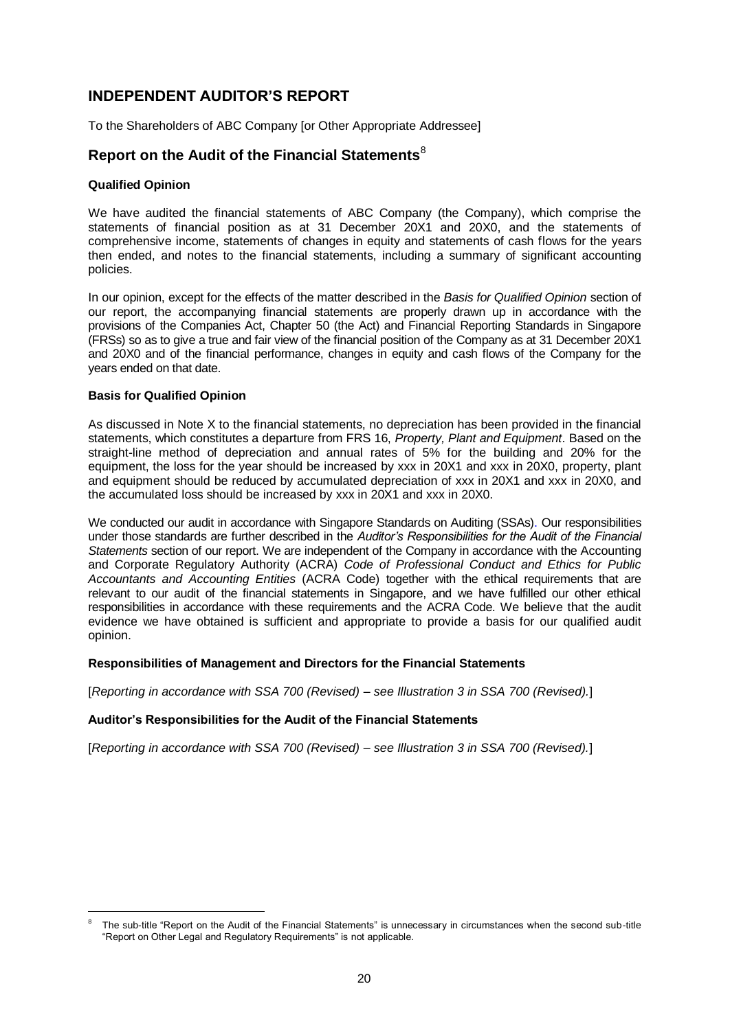# **INDEPENDENT AUDITOR'S REPORT**

To the Shareholders of ABC Company [or Other Appropriate Addressee]

### **Report on the Audit of the Financial Statements**<sup>8</sup>

### **Qualified Opinion**

We have audited the financial statements of ABC Company (the Company), which comprise the statements of financial position as at 31 December 20X1 and 20X0, and the statements of comprehensive income, statements of changes in equity and statements of cash flows for the years then ended, and notes to the financial statements, including a summary of significant accounting policies.

In our opinion, except for the effects of the matter described in the *Basis for Qualified Opinion* section of our report, the accompanying financial statements are properly drawn up in accordance with the provisions of the Companies Act, Chapter 50 (the Act) and Financial Reporting Standards in Singapore (FRSs) so as to give a true and fair view of the financial position of the Company as at 31 December 20X1 and 20X0 and of the financial performance, changes in equity and cash flows of the Company for the years ended on that date.

### **Basis for Qualified Opinion**

**.** 

As discussed in Note X to the financial statements, no depreciation has been provided in the financial statements, which constitutes a departure from FRS 16, *Property, Plant and Equipment*. Based on the straight-line method of depreciation and annual rates of 5% for the building and 20% for the equipment, the loss for the year should be increased by xxx in 20X1 and xxx in 20X0, property, plant and equipment should be reduced by accumulated depreciation of xxx in 20X1 and xxx in 20X0, and the accumulated loss should be increased by xxx in 20X1 and xxx in 20X0.

We conducted our audit in accordance with Singapore Standards on Auditing (SSAs). Our responsibilities under those standards are further described in the *Auditor's Responsibilities for the Audit of the Financial Statements* section of our report. We are independent of the Company in accordance with the Accounting and Corporate Regulatory Authority (ACRA) *Code of Professional Conduct and Ethics for Public Accountants and Accounting Entities* (ACRA Code) together with the ethical requirements that are relevant to our audit of the financial statements in Singapore, and we have fulfilled our other ethical responsibilities in accordance with these requirements and the ACRA Code. We believe that the audit evidence we have obtained is sufficient and appropriate to provide a basis for our qualified audit opinion.

### **Responsibilities of Management and Directors for the Financial Statements**

[*Reporting in accordance with SSA 700 (Revised) – see Illustration 3 in SSA 700 (Revised).*]

### **Auditor's Responsibilities for the Audit of the Financial Statements**

[*Reporting in accordance with SSA 700 (Revised) – see Illustration 3 in SSA 700 (Revised).*]

<sup>8</sup> The sub-title "Report on the Audit of the Financial Statements" is unnecessary in circumstances when the second sub-title "Report on Other Legal and Regulatory Requirements" is not applicable.